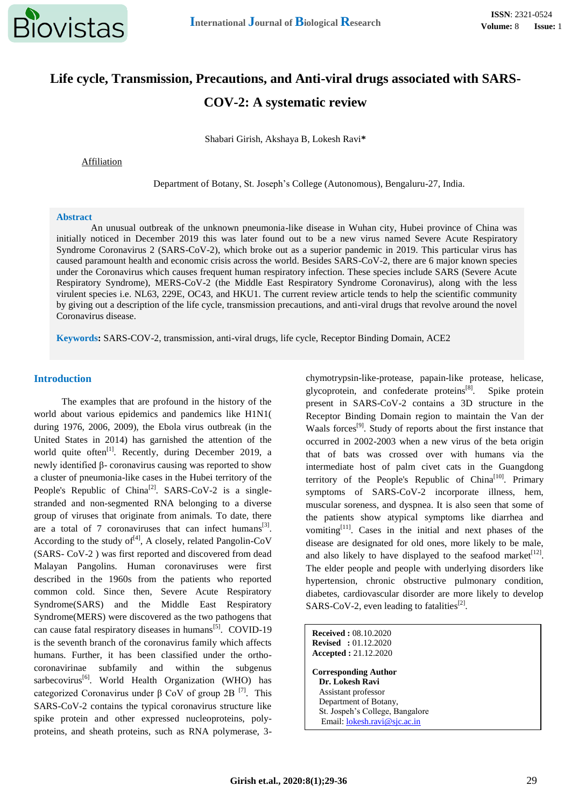

# **Life cycle, Transmission, Precautions, and Anti-viral drugs associated with SARS-COV-2: A systematic review**

Shabari Girish, Akshaya B, Lokesh Ravi**\***

Affiliation

Department of Botany, St. Joseph's College (Autonomous), Bengaluru-27, India.

#### **Abstract**

An unusual outbreak of the unknown pneumonia-like disease in Wuhan city, Hubei province of China was initially noticed in December 2019 this was later found out to be a new virus named Severe Acute Respiratory Syndrome Coronavirus 2 (SARS-CoV-2), which broke out as a superior pandemic in 2019. This particular virus has caused paramount health and economic crisis across the world. Besides SARS-CoV-2, there are 6 major known species under the Coronavirus which causes frequent human respiratory infection. These species include SARS (Severe Acute Respiratory Syndrome), MERS-CoV-2 (the Middle East Respiratory Syndrome Coronavirus), along with the less virulent species i.e. NL63, 229E, OC43, and HKU1. The current review article tends to help the scientific community by giving out a description of the life cycle, transmission precautions, and anti-viral drugs that revolve around the novel Coronavirus disease.

**Keywords:** SARS-COV-2, transmission, anti-viral drugs, life cycle, Receptor Binding Domain, ACE2

#### **Introduction**

The examples that are profound in the history of the world about various epidemics and pandemics like H1N1( during 1976, 2006, 2009), the Ebola virus outbreak (in the United States in 2014) has garnished the attention of the world quite often $^{[1]}$ . Recently, during December 2019, a newly identified β- coronavirus causing was reported to show a cluster of pneumonia-like cases in the Hubei territory of the People's Republic of China<sup>[2]</sup>. SARS-CoV-2 is a singlestranded and non-segmented RNA belonging to a diverse group of viruses that originate from animals. To date, there are a total of 7 coronaviruses that can infect humans<sup>[3]</sup>. According to the study of  $[4]$ , A closely, related Pangolin-CoV (SARS- CoV-2 ) was first reported and discovered from dead Malayan Pangolins. Human coronaviruses were first described in the 1960s from the patients who reported common cold. Since then, Severe Acute Respiratory Syndrome(SARS) and the Middle East Respiratory Syndrome(MERS) were discovered as the two pathogens that can cause fatal respiratory diseases in humans<sup>[5]</sup>. COVID-19 is the seventh branch of the coronavirus family which affects humans. Further, it has been classified under the orthocoronavirinae subfamily and within the subgenus  $s$ arbecovirus<sup>[6]</sup>. World Health Organization (WHO) has categorized Coronavirus under β CoV of group 2B  $[7]$ . This SARS-CoV-2 contains the typical coronavirus structure like spike protein and other expressed nucleoproteins, polyproteins, and sheath proteins, such as RNA polymerase, 3chymotrypsin-like-protease, papain-like protease, helicase, glycoprotein, and confederate proteins<sup>[8]</sup>. Spike protein present in SARS-CoV-2 contains a 3D structure in the Receptor Binding Domain region to maintain the Van der Waals forces<sup>[9]</sup>. Study of reports about the first instance that occurred in 2002-2003 when a new virus of the beta origin that of bats was crossed over with humans via the intermediate host of palm civet cats in the Guangdong territory of the People's Republic of China<sup>[10]</sup>. Primary symptoms of SARS-CoV-2 incorporate illness, hem, muscular soreness, and dyspnea. It is also seen that some of the patients show atypical symptoms like diarrhea and vomiting[11]. Cases in the initial and next phases of the disease are designated for old ones, more likely to be male, and also likely to have displayed to the seafood market $[12]$ . The elder people and people with underlying disorders like hypertension, chronic obstructive pulmonary condition, diabetes, cardiovascular disorder are more likely to develop SARS-CoV-2, even leading to fatalities<sup>[2]</sup>.

**Received :** 08.10.2020 **Revised :** 01.12.2020 **Accepted :** 21.12.2020 **Corresponding Author Dr. Lokesh Ravi** Assistant professor Department of Botany, St. Jospeh's College, Bangalore Email: [lokesh.ravi@sjc.ac.in](mailto:lokesh.ravi@sjc.ac.in)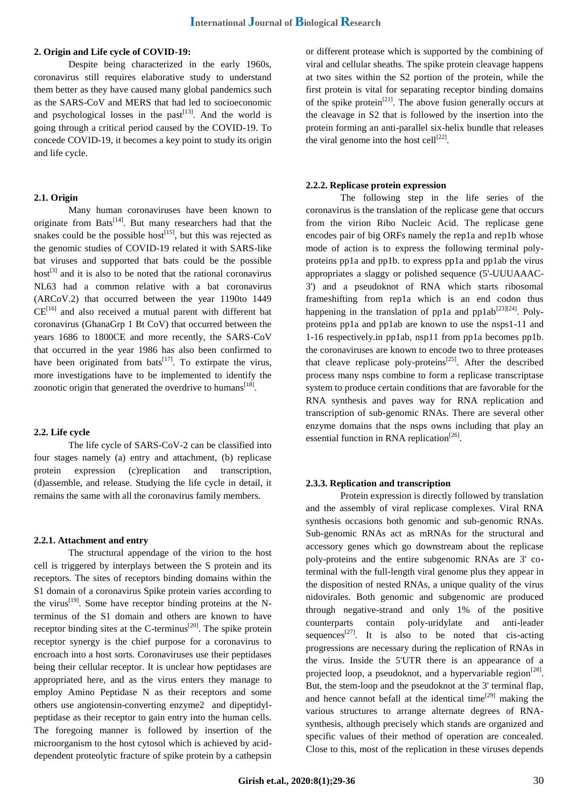## **2. Origin and Life cycle of COVID-19:**

Despite being characterized in the early 1960s, coronavirus still requires elaborative study to understand them better as they have caused many global pandemics such as the SARS-CoV and MERS that had led to socioeconomic and psychological losses in the past $[13]$ . And the world is going through a critical period caused by the COVID-19. To concede COVID-19, it becomes a key point to study its origin and life cycle.

## **2.1. Origin**

Many human coronaviruses have been known to originate from Bats<sup>[14]</sup>. But many researchers had that the snakes could be the possible host<sup>[15]</sup>, but this was rejected as the genomic studies of COVID-19 related it with SARS-like bat viruses and supported that bats could be the possible host<sup>[3]</sup> and it is also to be noted that the rational coronavirus NL63 had a common relative with a bat coronavirus (ARCoV.2) that occurred between the year 1190to 1449  $CE^{[16]}$  and also received a mutual parent with different bat coronavirus (GhanaGrp 1 Bt CoV) that occurred between the years 1686 to 1800CE and more recently, the SARS-CoV that occurred in the year 1986 has also been confirmed to have been originated from bats<sup>[17]</sup>. To extirpate the virus, more investigations have to be implemented to identify the zoonotic origin that generated the overdrive to humans $^{[18]}$ .

#### **2.2. Life cycle**

The life cycle of SARS-CoV-2 can be classified into four stages namely (a) entry and attachment, (b) replicase protein expression (c)replication and transcription, (d)assemble, and release. Studying the life cycle in detail, it remains the same with all the coronavirus family members.

## **2.2.1. Attachment and entry**

The structural appendage of the virion to the host cell is triggered by interplays between the S protein and its receptors. The sites of receptors binding domains within the S1 domain of a coronavirus Spike protein varies according to the virus<sup>[19]</sup>. Some have receptor binding proteins at the Nterminus of the S1 domain and others are known to have receptor binding sites at the C-terminus<sup>[20]</sup>. The spike protein receptor synergy is the chief purpose for a coronavirus to encroach into a host sorts. Coronaviruses use their peptidases being their cellular receptor. It is unclear how peptidases are appropriated here, and as the virus enters they manage to employ Amino Peptidase N as their receptors and some others use angiotensin-converting enzyme2 and dipeptidylpeptidase as their receptor to gain entry into the human cells. The foregoing manner is followed by insertion of the microorganism to the host cytosol which is achieved by aciddependent proteolytic fracture of spike protein by a cathepsin

or different protease which is supported by the combining of viral and cellular sheaths. The spike protein cleavage happens at two sites within the S2 portion of the protein, while the first protein is vital for separating receptor binding domains of the spike protein<sup>[21]</sup>. The above fusion generally occurs at the cleavage in S2 that is followed by the insertion into the protein forming an anti-parallel six-helix bundle that releases the viral genome into the host cell $^{[22]}$ .

#### **2.2.2. Replicase protein expression**

The following step in the life series of the coronavirus is the translation of the replicase gene that occurs from the virion Ribo Nucleic Acid. The replicase gene encodes pair of big ORFs namely the rep1a and rep1b whose mode of action is to express the following terminal polyproteins pp1a and pp1b. to express pp1a and pp1ab the virus appropriates a slaggy or polished sequence (5'-UUUAAAC-3') and a pseudoknot of RNA which starts ribosomal frameshifting from rep1a which is an end codon thus happening in the translation of pp1a and pp1ab<sup>[23][24]</sup>. Polyproteins pp1a and pp1ab are known to use the nsps1-11 and 1-16 respectively.in pp1ab, nsp11 from pp1a becomes pp1b. the coronaviruses are known to encode two to three proteases that cleave replicase poly-proteins<sup>[25]</sup>. After the described process many nsps combine to form a replicase transcriptase system to produce certain conditions that are favorable for the RNA synthesis and paves way for RNA replication and transcription of sub-genomic RNAs. There are several other enzyme domains that the nsps owns including that play an essential function in RNA replication<sup>[26]</sup>.

#### **2.3.3. Replication and transcription**

Protein expression is directly followed by translation and the assembly of viral replicase complexes. Viral RNA synthesis occasions both genomic and sub-genomic RNAs. Sub-genomic RNAs act as mRNAs for the structural and accessory genes which go downstream about the replicase poly-proteins and the entire subgenomic RNAs are 3' coterminal with the full-length viral genome plus they appear in the disposition of nested RNAs, a unique quality of the virus nidovirales. Both genomic and subgenomic are produced through negative-strand and only 1% of the positive counterparts contain poly-uridylate and anti-leader sequences<sup>[27]</sup>. It is also to be noted that cis-acting progressions are necessary during the replication of RNAs in the virus. Inside the 5'UTR there is an appearance of a projected loop, a pseudoknot, and a hypervariable region<sup>[28]</sup>. But, the stem-loop and the pseudoknot at the 3' terminal flap, and hence cannot befall at the identical time<sup>[29]</sup> making the various structures to arrange alternate degrees of RNAsynthesis, although precisely which stands are organized and specific values of their method of operation are concealed. Close to this, most of the replication in these viruses depends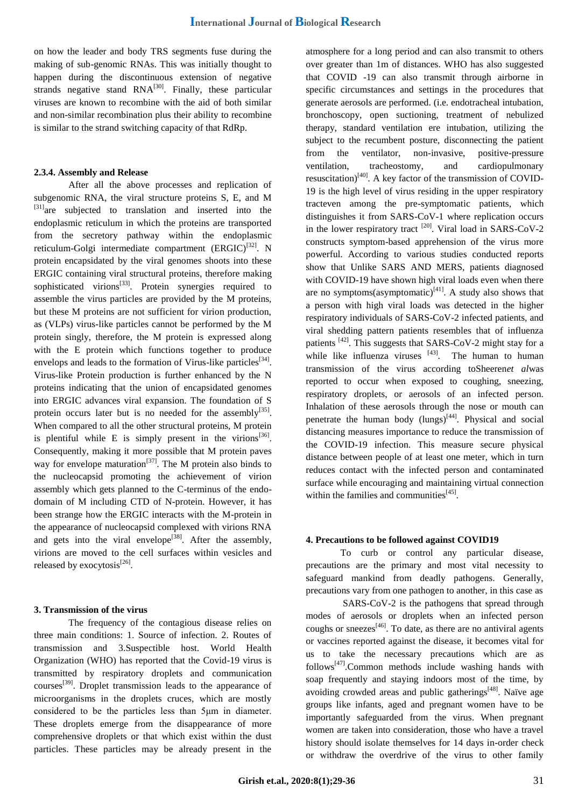on how the leader and body TRS segments fuse during the making of sub-genomic RNAs. This was initially thought to happen during the discontinuous extension of negative strands negative stand  $RNA^{[30]}$ . Finally, these particular viruses are known to recombine with the aid of both similar and non-similar recombination plus their ability to recombine is similar to the strand switching capacity of that RdRp.

## **2.3.4. Assembly and Release**

After all the above processes and replication of subgenomic RNA, the viral structure proteins S, E, and M [31]are subjected to translation and inserted into the endoplasmic reticulum in which the proteins are transported from the secretory pathway within the endoplasmic reticulum-Golgi intermediate compartment  $(ERGIC)^{[32]}$ . N protein encapsidated by the viral genomes shoots into these ERGIC containing viral structural proteins, therefore making sophisticated virions<sup>[33]</sup>. Protein synergies required to assemble the virus particles are provided by the M proteins, but these M proteins are not sufficient for virion production, as (VLPs) virus-like particles cannot be performed by the M protein singly, therefore, the M protein is expressed along with the E protein which functions together to produce envelops and leads to the formation of Virus-like particles<sup>[34]</sup>. Virus-like Protein production is further enhanced by the N proteins indicating that the union of encapsidated genomes into ERGIC advances viral expansion. The foundation of S protein occurs later but is no needed for the assembly<sup>[35]</sup>. When compared to all the other structural proteins, M protein is plentiful while E is simply present in the virions<sup>[36]</sup>. Consequently, making it more possible that M protein paves way for envelope maturation<sup>[37]</sup>. The M protein also binds to the nucleocapsid promoting the achievement of virion assembly which gets planned to the C-terminus of the endodomain of M including CTD of N-protein. However, it has been strange how the ERGIC interacts with the M-protein in the appearance of nucleocapsid complexed with virions RNA and gets into the viral envelope<sup>[38]</sup>. After the assembly, virions are moved to the cell surfaces within vesicles and released by exocytosis<sup>[26]</sup>.

#### **3. Transmission of the virus**

The frequency of the contagious disease relies on three main conditions: 1. Source of infection. 2. Routes of transmission and 3.Suspectible host. World Health Organization (WHO) has reported that the Covid-19 virus is transmitted by respiratory droplets and communication courses[39]. Droplet transmission leads to the appearance of microorganisms in the droplets cruces, which are mostly considered to be the particles less than 5μm in diameter. These droplets emerge from the disappearance of more comprehensive droplets or that which exist within the dust particles. These particles may be already present in the atmosphere for a long period and can also transmit to others over greater than 1m of distances. WHO has also suggested that COVID -19 can also transmit through airborne in specific circumstances and settings in the procedures that generate aerosols are performed. (i.e. endotracheal intubation, bronchoscopy, open suctioning, treatment of nebulized therapy, standard ventilation ere intubation, utilizing the subject to the recumbent posture, disconnecting the patient from the ventilator, non-invasive, positive-pressure ventilation, tracheostomy, and cardiopulmonary resuscitation) $[40]$ . A key factor of the transmission of COVID-19 is the high level of virus residing in the upper respiratory tracteven among the pre-symptomatic patients, which distinguishes it from SARS-CoV-1 where replication occurs in the lower respiratory tract  $[20]$ . Viral load in SARS-CoV-2 constructs symptom-based apprehension of the virus more powerful. According to various studies conducted reports show that Unlike SARS AND MERS, patients diagnosed with COVID-19 have shown high viral loads even when there are no symptoms(asymptomatic) $[41]$ . A study also shows that a person with high viral loads was detected in the higher respiratory individuals of SARS-CoV-2 infected patients, and viral shedding pattern patients resembles that of influenza patients [42]. This suggests that SARS-CoV-2 might stay for a while like influenza viruses  $[43]$ . The human to human transmission of the virus according toSheeren*et al*was reported to occur when exposed to coughing, sneezing, respiratory droplets, or aerosols of an infected person. Inhalation of these aerosols through the nose or mouth can penetrate the human body  $(lungs)^{[44]}$ . Physical and social distancing measures importance to reduce the transmission of the COVID-19 infection. This measure secure physical distance between people of at least one meter, which in turn reduces contact with the infected person and contaminated surface while encouraging and maintaining virtual connection within the families and communities $^{[45]}$ .

#### **4. Precautions to be followed against COVID19**

To curb or control any particular disease, precautions are the primary and most vital necessity to safeguard mankind from deadly pathogens. Generally, precautions vary from one pathogen to another, in this case as

SARS-CoV-2 is the pathogens that spread through modes of aerosols or droplets when an infected person coughs or sneezes<sup>[46]</sup>. To date, as there are no antiviral agents or vaccines reported against the disease, it becomes vital for us to take the necessary precautions which are as follows<sup>[47]</sup>.Common methods include washing hands with soap frequently and staying indoors most of the time, by avoiding crowded areas and public gatherings $[48]$ . Naïve age groups like infants, aged and pregnant women have to be importantly safeguarded from the virus. When pregnant women are taken into consideration, those who have a travel history should isolate themselves for 14 days in-order check or withdraw the overdrive of the virus to other family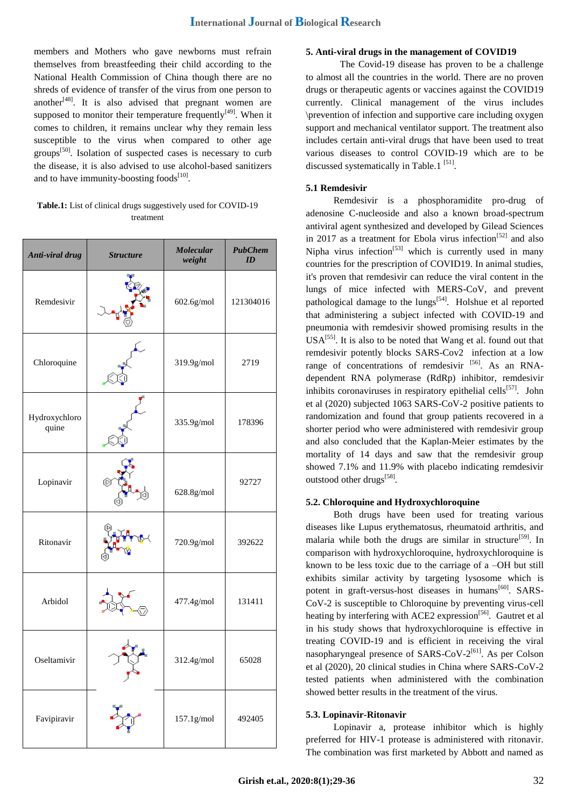members and Mothers who gave newborns must refrain themselves from breastfeeding their child according to the National Health Commission of China though there are no shreds of evidence of transfer of the virus from one person to another $[48]$ . It is also advised that pregnant women are supposed to monitor their temperature frequently $[49]$ . When it comes to children, it remains unclear why they remain less susceptible to the virus when compared to other age groups<sup>[50]</sup>. Isolation of suspected cases is necessary to curb the disease, it is also advised to use alcohol-based sanitizers and to have immunity-boosting foods $^{[10]}$ .

## **Table.1:** List of clinical drugs suggestively used for COVID-19 treatment

| Anti-viral drug        | <b>Structure</b> | <b>Molecular</b><br>weight | <b>PubChem</b><br>ID |
|------------------------|------------------|----------------------------|----------------------|
| Remdesivir             |                  | 602.6g/mol                 | 121304016            |
| Chloroquine            |                  | 319.9g/mol                 | 2719                 |
| Hydroxychloro<br>quine |                  | 335.9g/mol                 | 178396               |
| Lopinavir              | C                | 628.8g/mol                 | 92727                |
| Ritonavir              |                  | 720.9g/mol                 | 392622               |
| Arbidol                |                  | 477.4g/mol                 | 131411               |
| Oseltamivir            |                  | 312.4g/mol                 | 65028                |
| Favipiravir            |                  | 157.1g/mol                 | 492405               |

## **5. Anti-viral drugs in the management of COVID19**

The Covid-19 disease has proven to be a challenge to almost all the countries in the world. There are no proven drugs or therapeutic agents or vaccines against the COVID19 currently. Clinical management of the virus includes \prevention of infection and supportive care including oxygen support and mechanical ventilator support. The treatment also includes certain anti-viral drugs that have been used to treat various diseases to control COVID-19 which are to be discussed systematically in Table.1<sup>[51]</sup>.

## **5.1 Remdesivir**

Remdesivir is a phosphoramidite pro-drug of adenosine C-nucleoside and also a known broad-spectrum antiviral agent synthesized and developed by Gilead Sciences in 2017 as a treatment for Ebola virus infection<sup>[52]</sup> and also Nipha virus infection<sup>[53]</sup> which is currently used in many countries for the prescription of COVID19. In animal studies, it's proven that remdesivir can reduce the viral content in the lungs of mice infected with MERS-CoV, and prevent pathological damage to the lungs<sup>[54]</sup>. Holshue et al reported that administering a subject infected with COVID-19 and pneumonia with remdesivir showed promising results in the  $USA^{[55]}$ . It is also to be noted that Wang et al. found out that remdesivir potently blocks SARS-Cov2 infection at a low range of concentrations of remdesivir  $[56]$ . As an RNAdependent RNA polymerase (RdRp) inhibitor, remdesivir inhibits coronaviruses in respiratory epithelial cells<sup>[57]</sup>. John et al (2020) subjected 1063 SARS-CoV-2 positive patients to randomization and found that group patients recovered in a shorter period who were administered with remdesivir group and also concluded that the Kaplan-Meier estimates by the mortality of 14 days and saw that the remdesivir group showed 7.1% and 11.9% with placebo indicating remdesivir outstood other drugs<sup>[58]</sup>.

## **5.2. Chloroquine and Hydroxychloroquine**

Both drugs have been used for treating various diseases like Lupus erythematosus, rheumatoid arthritis, and malaria while both the drugs are similar in structure<sup>[59]</sup>. In comparison with hydroxychloroquine, hydroxychloroquine is known to be less toxic due to the carriage of a –OH but still exhibits similar activity by targeting lysosome which is potent in graft-versus-host diseases in humans<sup>[60]</sup>. SARS-CoV-2 is susceptible to Chloroquine by preventing virus-cell heating by interfering with ACE2 expression<sup>[56]</sup>. Gautret et al in his study shows that hydroxychloroquine is effective in treating COVID-19 and is efficient in receiving the viral nasopharyngeal presence of SARS-CoV-2<sup>[61]</sup>. As per Colson et al (2020), 20 clinical studies in China where SARS-CoV-2 tested patients when administered with the combination showed better results in the treatment of the virus.

## **5.3. Lopinavir-Ritonavir**

Lopinavir a, protease inhibitor which is highly preferred for HIV-1 protease is administered with ritonavir. The combination was first marketed by Abbott and named as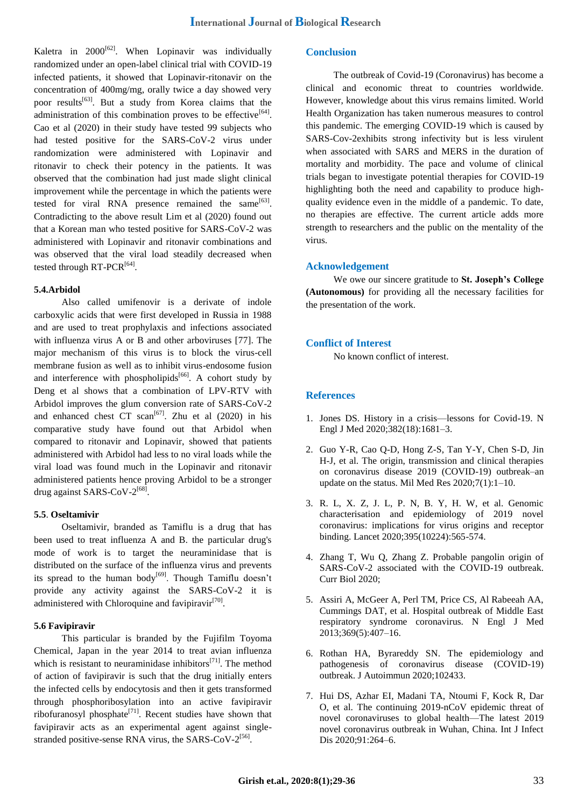Kaletra in  $2000^{62}$ . When Lopinavir was individually randomized under an open-label clinical trial with COVID-19 infected patients, it showed that Lopinavir-ritonavir on the concentration of 400mg/mg, orally twice a day showed very poor results[63]. But a study from Korea claims that the administration of this combination proves to be effective  $[64]$ . Cao et al (2020) in their study have tested 99 subjects who had tested positive for the SARS-CoV-2 virus under randomization were administered with Lopinavir and ritonavir to check their potency in the patients. It was observed that the combination had just made slight clinical improvement while the percentage in which the patients were tested for viral RNA presence remained the same $^{[63]}$ . Contradicting to the above result Lim et al (2020) found out that a Korean man who tested positive for SARS-CoV-2 was administered with Lopinavir and ritonavir combinations and was observed that the viral load steadily decreased when tested through RT-PCR<sup>[64]</sup>.

## **5.4.Arbidol**

Also called umifenovir is a derivate of indole carboxylic acids that were first developed in Russia in 1988 and are used to treat prophylaxis and infections associated with influenza virus A or B and other arboviruses [77]. The major mechanism of this virus is to block the virus-cell membrane fusion as well as to inhibit virus-endosome fusion and interference with phospholipids<sup>[66]</sup>. A cohort study by Deng et al shows that a combination of LPV-RTV with Arbidol improves the glum conversion rate of SARS-CoV-2 and enhanced chest CT scan<sup>[67]</sup>. Zhu et al  $(2020)$  in his comparative study have found out that Arbidol when compared to ritonavir and Lopinavir, showed that patients administered with Arbidol had less to no viral loads while the viral load was found much in the Lopinavir and ritonavir administered patients hence proving Arbidol to be a stronger drug against SARS-CoV-2<sup>[68]</sup>.

## **5.5**. **Oseltamivir**

Oseltamivir, branded as Tamiflu is a drug that has been used to treat influenza A and B. the particular drug's mode of work is to target the neuraminidase that is distributed on the surface of the influenza virus and prevents its spread to the human body<sup>[69]</sup>. Though Tamiflu doesn't provide any activity against the SARS-CoV-2 it is administered with Chloroquine and favipiravir<sup>[70]</sup>.

#### **5.6 Favipiravir**

This particular is branded by the Fujifilm Toyoma Chemical, Japan in the year 2014 to treat avian influenza which is resistant to neuraminidase inhibitors $[71]$ . The method of action of favipiravir is such that the drug initially enters the infected cells by endocytosis and then it gets transformed through phosphoribosylation into an active favipiravir ribofuranosyl phosphate<sup>[71]</sup>. Recent studies have shown that favipiravir acts as an experimental agent against singlestranded positive-sense RNA virus, the SARS-CoV-2<sup>[56]</sup>.

# **Conclusion**

The outbreak of Covid-19 (Coronavirus) has become a clinical and economic threat to countries worldwide. However, knowledge about this virus remains limited. World Health Organization has taken numerous measures to control this pandemic. The emerging COVID-19 which is caused by SARS-Cov-2exhibits strong infectivity but is less virulent when associated with SARS and MERS in the duration of mortality and morbidity. The pace and volume of clinical trials began to investigate potential therapies for COVID-19 highlighting both the need and capability to produce highquality evidence even in the middle of a pandemic. To date, no therapies are effective. The current article adds more strength to researchers and the public on the mentality of the virus.

## **Acknowledgement**

We owe our sincere gratitude to **St. Joseph's College (Autonomous)** for providing all the necessary facilities for the presentation of the work.

## **Conflict of Interest**

No known conflict of interest.

## **References**

- 1. Jones DS. History in a crisis—lessons for Covid-19. N Engl J Med 2020;382(18):1681–3.
- 2. Guo Y-R, Cao Q-D, Hong Z-S, Tan Y-Y, Chen S-D, Jin H-J, et al. The origin, transmission and clinical therapies on coronavirus disease 2019 (COVID-19) outbreak–an update on the status. Mil Med Res 2020;7(1):1–10.
- 3. R. L, X. Z, J. L, P. N, B. Y, H. W, et al. Genomic characterisation and epidemiology of 2019 novel coronavirus: implications for virus origins and receptor binding. Lancet 2020;395(10224):565-574.
- 4. Zhang T, Wu Q, Zhang Z. Probable pangolin origin of SARS-CoV-2 associated with the COVID-19 outbreak. Curr Biol 2020;
- 5. Assiri A, McGeer A, Perl TM, Price CS, Al Rabeeah AA, Cummings DAT, et al. Hospital outbreak of Middle East respiratory syndrome coronavirus. N Engl J Med 2013;369(5):407–16.
- 6. Rothan HA, Byrareddy SN. The epidemiology and pathogenesis of coronavirus disease (COVID-19) outbreak. J Autoimmun 2020;102433.
- 7. Hui DS, Azhar EI, Madani TA, Ntoumi F, Kock R, Dar O, et al. The continuing 2019-nCoV epidemic threat of novel coronaviruses to global health—The latest 2019 novel coronavirus outbreak in Wuhan, China. Int J Infect Dis 2020;91:264–6.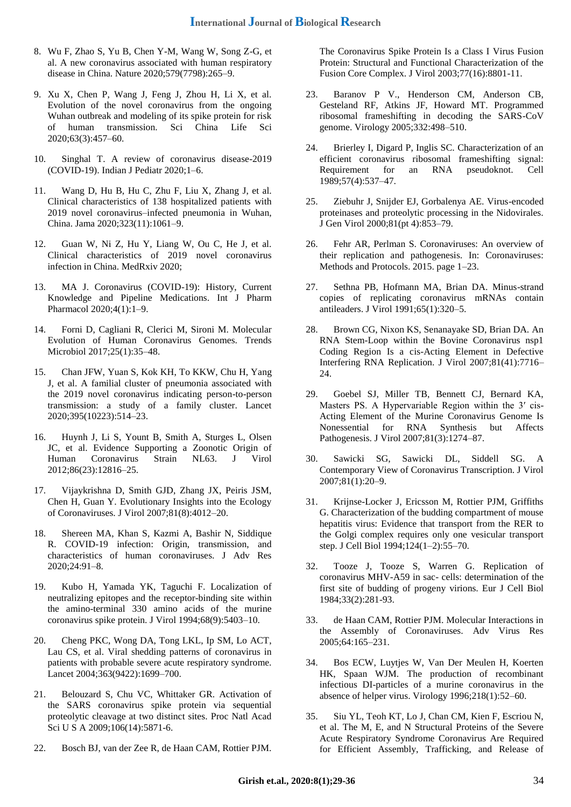- 8. Wu F, Zhao S, Yu B, Chen Y-M, Wang W, Song Z-G, et al. A new coronavirus associated with human respiratory disease in China. Nature 2020;579(7798):265–9.
- 9. Xu X, Chen P, Wang J, Feng J, Zhou H, Li X, et al. Evolution of the novel coronavirus from the ongoing Wuhan outbreak and modeling of its spike protein for risk of human transmission. Sci China Life Sci 2020;63(3):457–60.
- 10. Singhal T. A review of coronavirus disease-2019 (COVID-19). Indian J Pediatr 2020;1–6.
- 11. Wang D, Hu B, Hu C, Zhu F, Liu X, Zhang J, et al. Clinical characteristics of 138 hospitalized patients with 2019 novel coronavirus–infected pneumonia in Wuhan, China. Jama 2020;323(11):1061–9.
- 12. Guan W, Ni Z, Hu Y, Liang W, Ou C, He J, et al. Clinical characteristics of 2019 novel coronavirus infection in China. MedRxiv 2020;
- 13. MA J. Coronavirus (COVID-19): History, Current Knowledge and Pipeline Medications. Int J Pharm Pharmacol 2020;4(1):1–9.
- 14. Forni D, Cagliani R, Clerici M, Sironi M. Molecular Evolution of Human Coronavirus Genomes. Trends Microbiol 2017;25(1):35–48.
- 15. Chan JFW, Yuan S, Kok KH, To KKW, Chu H, Yang J, et al. A familial cluster of pneumonia associated with the 2019 novel coronavirus indicating person-to-person transmission: a study of a family cluster. Lancet 2020;395(10223):514–23.
- 16. Huynh J, Li S, Yount B, Smith A, Sturges L, Olsen JC, et al. Evidence Supporting a Zoonotic Origin of Human Coronavirus Strain NL63. J Virol 2012;86(23):12816–25.
- 17. Vijaykrishna D, Smith GJD, Zhang JX, Peiris JSM, Chen H, Guan Y. Evolutionary Insights into the Ecology of Coronaviruses. J Virol 2007;81(8):4012–20.
- 18. Shereen MA, Khan S, Kazmi A, Bashir N, Siddique R. COVID-19 infection: Origin, transmission, and characteristics of human coronaviruses. J Adv Res 2020;24:91–8.
- 19. Kubo H, Yamada YK, Taguchi F. Localization of neutralizing epitopes and the receptor-binding site within the amino-terminal 330 amino acids of the murine coronavirus spike protein. J Virol 1994;68(9):5403–10.
- 20. Cheng PKC, Wong DA, Tong LKL, Ip SM, Lo ACT, Lau CS, et al. Viral shedding patterns of coronavirus in patients with probable severe acute respiratory syndrome. Lancet 2004;363(9422):1699–700.
- 21. Belouzard S, Chu VC, Whittaker GR. Activation of the SARS coronavirus spike protein via sequential proteolytic cleavage at two distinct sites. Proc Natl Acad Sci U S A 2009;106(14):5871-6.
- 22. Bosch BJ, van der Zee R, de Haan CAM, Rottier PJM.

The Coronavirus Spike Protein Is a Class I Virus Fusion Protein: Structural and Functional Characterization of the Fusion Core Complex. J Virol 2003;77(16):8801-11.

- 23. Baranov P V., Henderson CM, Anderson CB, Gesteland RF, Atkins JF, Howard MT. Programmed ribosomal frameshifting in decoding the SARS-CoV genome. Virology 2005;332:498–510.
- 24. Brierley I, Digard P, Inglis SC. Characterization of an efficient coronavirus ribosomal frameshifting signal: Requirement for an RNA pseudoknot. Cell 1989;57(4):537–47.
- 25. Ziebuhr J, Snijder EJ, Gorbalenya AE. Virus-encoded proteinases and proteolytic processing in the Nidovirales. J Gen Virol 2000;81(pt 4):853–79.
- 26. Fehr AR, Perlman S. Coronaviruses: An overview of their replication and pathogenesis. In: Coronaviruses: Methods and Protocols. 2015. page 1–23.
- 27. Sethna PB, Hofmann MA, Brian DA. Minus-strand copies of replicating coronavirus mRNAs contain antileaders. J Virol 1991;65(1):320–5.
- 28. Brown CG, Nixon KS, Senanayake SD, Brian DA. An RNA Stem-Loop within the Bovine Coronavirus nsp1 Coding Region Is a cis-Acting Element in Defective Interfering RNA Replication. J Virol 2007;81(41):7716– 24.
- 29. Goebel SJ, Miller TB, Bennett CJ, Bernard KA, Masters PS. A Hypervariable Region within the 3′ cis-Acting Element of the Murine Coronavirus Genome Is Nonessential for RNA Synthesis but Affects Pathogenesis. J Virol 2007;81(3):1274–87.
- 30. Sawicki SG, Sawicki DL, Siddell SG. A Contemporary View of Coronavirus Transcription. J Virol 2007;81(1):20–9.
- 31. Krijnse-Locker J, Ericsson M, Rottier PJM, Griffiths G. Characterization of the budding compartment of mouse hepatitis virus: Evidence that transport from the RER to the Golgi complex requires only one vesicular transport step. J Cell Biol 1994;124(1–2):55–70.
- 32. Tooze J, Tooze S, Warren G. Replication of coronavirus MHV-A59 in sac- cells: determination of the first site of budding of progeny virions. Eur J Cell Biol 1984;33(2):281-93.
- 33. de Haan CAM, Rottier PJM. Molecular Interactions in the Assembly of Coronaviruses. Adv Virus Res 2005;64:165–231.
- 34. Bos ECW, Luytjes W, Van Der Meulen H, Koerten HK, Spaan WJM. The production of recombinant infectious DI-particles of a murine coronavirus in the absence of helper virus. Virology 1996;218(1):52–60.
- 35. Siu YL, Teoh KT, Lo J, Chan CM, Kien F, Escriou N, et al. The M, E, and N Structural Proteins of the Severe Acute Respiratory Syndrome Coronavirus Are Required for Efficient Assembly, Trafficking, and Release of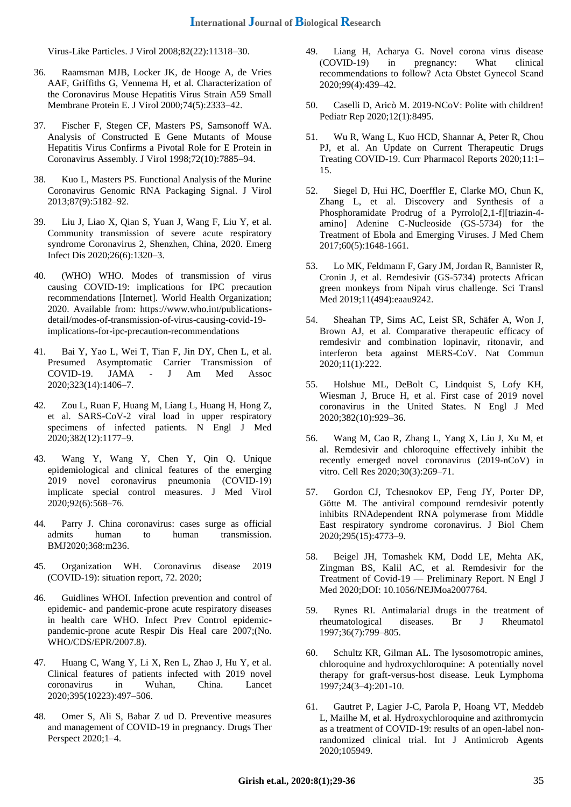Virus-Like Particles. J Virol 2008;82(22):11318–30.

- 36. Raamsman MJB, Locker JK, de Hooge A, de Vries AAF, Griffiths G, Vennema H, et al. Characterization of the Coronavirus Mouse Hepatitis Virus Strain A59 Small Membrane Protein E. J Virol 2000;74(5):2333–42.
- 37. Fischer F, Stegen CF, Masters PS, Samsonoff WA. Analysis of Constructed E Gene Mutants of Mouse Hepatitis Virus Confirms a Pivotal Role for E Protein in Coronavirus Assembly. J Virol 1998;72(10):7885–94.
- 38. Kuo L, Masters PS. Functional Analysis of the Murine Coronavirus Genomic RNA Packaging Signal. J Virol 2013;87(9):5182–92.
- 39. Liu J, Liao X, Qian S, Yuan J, Wang F, Liu Y, et al. Community transmission of severe acute respiratory syndrome Coronavirus 2, Shenzhen, China, 2020. Emerg Infect Dis 2020;26(6):1320–3.
- 40. (WHO) WHO. Modes of transmission of virus causing COVID-19: implications for IPC precaution recommendations [Internet]. World Health Organization; 2020. Available from: https://www.who.int/publicationsdetail/modes-of-transmission-of-virus-causing-covid-19 implications-for-ipc-precaution-recommendations
- 41. Bai Y, Yao L, Wei T, Tian F, Jin DY, Chen L, et al. Presumed Asymptomatic Carrier Transmission of COVID-19. JAMA - J Am Med Assoc 2020;323(14):1406–7.
- 42. Zou L, Ruan F, Huang M, Liang L, Huang H, Hong Z, et al. SARS-CoV-2 viral load in upper respiratory specimens of infected patients. N Engl J Med 2020;382(12):1177–9.
- 43. Wang Y, Wang Y, Chen Y, Qin Q. Unique epidemiological and clinical features of the emerging 2019 novel coronavirus pneumonia (COVID‐19) implicate special control measures. J Med Virol 2020;92(6):568–76.
- 44. Parry J. China coronavirus: cases surge as official admits human to human transmission. BMJ2020;368:m236.
- 45. Organization WH. Coronavirus disease 2019 (COVID-19): situation report, 72. 2020;
- 46. Guidlines WHOI. Infection prevention and control of epidemic- and pandemic-prone acute respiratory diseases in health care WHO. Infect Prev Control epidemicpandemic-prone acute Respir Dis Heal care 2007;(No. WHO/CDS/EPR/2007.8).
- 47. Huang C, Wang Y, Li X, Ren L, Zhao J, Hu Y, et al. Clinical features of patients infected with 2019 novel coronavirus in Wuhan, China. Lancet 2020;395(10223):497–506.
- 48. Omer S, Ali S, Babar Z ud D. Preventive measures and management of COVID-19 in pregnancy. Drugs Ther Perspect 2020;1–4.
- 49. Liang H, Acharya G. Novel corona virus disease (COVID-19) in pregnancy: What clinical recommendations to follow? Acta Obstet Gynecol Scand 2020;99(4):439–42.
- 50. Caselli D, Aricò M. 2019-NCoV: Polite with children! Pediatr Rep 2020;12(1):8495.
- 51. Wu R, Wang L, Kuo HCD, Shannar A, Peter R, Chou PJ, et al. An Update on Current Therapeutic Drugs Treating COVID-19. Curr Pharmacol Reports 2020;11:1– 15.
- 52. Siegel D, Hui HC, Doerffler E, Clarke MO, Chun K, Zhang L, et al. Discovery and Synthesis of a Phosphoramidate Prodrug of a Pyrrolo[2,1-f][triazin-4 amino] Adenine C-Nucleoside (GS-5734) for the Treatment of Ebola and Emerging Viruses. J Med Chem 2017;60(5):1648-1661.
- 53. Lo MK, Feldmann F, Gary JM, Jordan R, Bannister R, Cronin J, et al. Remdesivir (GS-5734) protects African green monkeys from Nipah virus challenge. Sci Transl Med 2019;11(494):eaau9242.
- 54. Sheahan TP, Sims AC, Leist SR, Schäfer A, Won J, Brown AJ, et al. Comparative therapeutic efficacy of remdesivir and combination lopinavir, ritonavir, and interferon beta against MERS-CoV. Nat Commun 2020;11(1):222.
- 55. Holshue ML, DeBolt C, Lindquist S, Lofy KH, Wiesman J, Bruce H, et al. First case of 2019 novel coronavirus in the United States. N Engl J Med 2020;382(10):929–36.
- 56. Wang M, Cao R, Zhang L, Yang X, Liu J, Xu M, et al. Remdesivir and chloroquine effectively inhibit the recently emerged novel coronavirus (2019-nCoV) in vitro. Cell Res 2020;30(3):269–71.
- 57. Gordon CJ, Tchesnokov EP, Feng JY, Porter DP, Götte M. The antiviral compound remdesivir potently inhibits RNAdependent RNA polymerase from Middle East respiratory syndrome coronavirus. J Biol Chem 2020;295(15):4773–9.
- 58. Beigel JH, Tomashek KM, Dodd LE, Mehta AK, Zingman BS, Kalil AC, et al. Remdesivir for the Treatment of Covid-19 — Preliminary Report. N Engl J Med 2020;DOI: 10.1056/NEJMoa2007764.
- 59. Rynes RI. Antimalarial drugs in the treatment of rheumatological diseases. Br J Rheumatol 1997;36(7):799–805.
- 60. Schultz KR, Gilman AL. The lysosomotropic amines, chloroquine and hydroxychloroquine: A potentially novel therapy for graft-versus-host disease. Leuk Lymphoma 1997;24(3–4):201-10.
- 61. Gautret P, Lagier J-C, Parola P, Hoang VT, Meddeb L, Mailhe M, et al. Hydroxychloroquine and azithromycin as a treatment of COVID-19: results of an open-label nonrandomized clinical trial. Int J Antimicrob Agents 2020;105949.